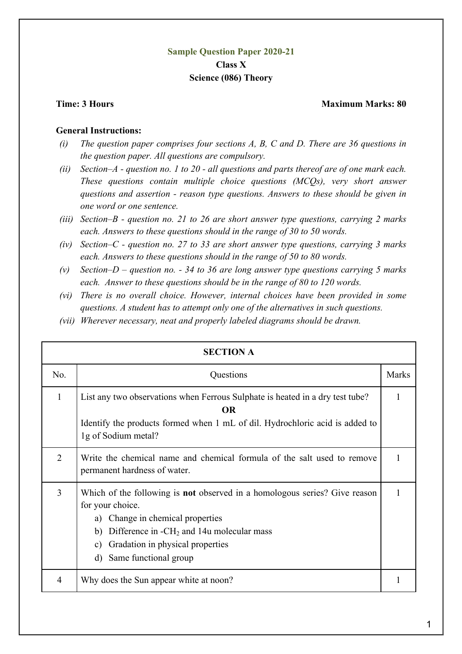## **Sample Question Paper 2020-21 Class X Science (086) Theory**

## **Time: 3 Hours Maximum Marks: 80 and Maximum Marks: 80 and Maximum Marks: 80 and Maximum Marks: 80 and Maximum Marks: 80 and Maximum Marks: 80 and Maximum Marks: 80 and Maximum Marks: 80 and Maximum Marks: 80 and Maximum M**

## **General Instructions:**

- *(i) The question paper comprises four sections A, B, C and D. There are 36 questions in the question paper. All questions are compulsory.*
- *(ii) Section–A - question no. 1 to 20 - all questions and parts thereof are of one mark each. These questions contain multiple choice questions (MCQs), very short answer questions and assertion - reason type questions. Answers to these should be given in one word or one sentence.*
- *(iii) Section–B - question no. 21 to 26 are short answer type questions, carrying 2 marks each. Answers to these questions should in the range of 30 to 50 words.*
- *(iv) Section–C - question no. 27 to 33 are short answer type questions, carrying 3 marks each. Answers to these questions should in the range of 50 to 80 words.*
- *(v) Section–D – question no. - 34 to 36 are long answer type questions carrying 5 marks each. Answer to these questions should be in the range of 80 to 120 words.*
- *(vi) There is no overall choice. However, internal choices have been provided in some questions. A student has to attempt only one of the alternatives in such questions.*
- *(vii) Wherever necessary, neat and properly labeled diagrams should be drawn.*

|                | <b>SECTION A</b>                                                                                                                                                                                                                                                   |              |
|----------------|--------------------------------------------------------------------------------------------------------------------------------------------------------------------------------------------------------------------------------------------------------------------|--------------|
| No.            | Questions                                                                                                                                                                                                                                                          | <b>Marks</b> |
| $\mathbf{1}$   | List any two observations when Ferrous Sulphate is heated in a dry test tube?<br><b>OR</b><br>Identify the products formed when 1 mL of dil. Hydrochloric acid is added to<br>1g of Sodium metal?                                                                  |              |
| $\overline{2}$ | Write the chemical name and chemical formula of the salt used to remove<br>permanent hardness of water.                                                                                                                                                            |              |
| 3              | Which of the following is <b>not</b> observed in a homologous series? Give reason<br>for your choice.<br>a) Change in chemical properties<br>b) Difference in $-CH_2$ and 14u molecular mass<br>Gradation in physical properties<br>c)<br>d) Same functional group |              |
| 4              | Why does the Sun appear white at noon?                                                                                                                                                                                                                             |              |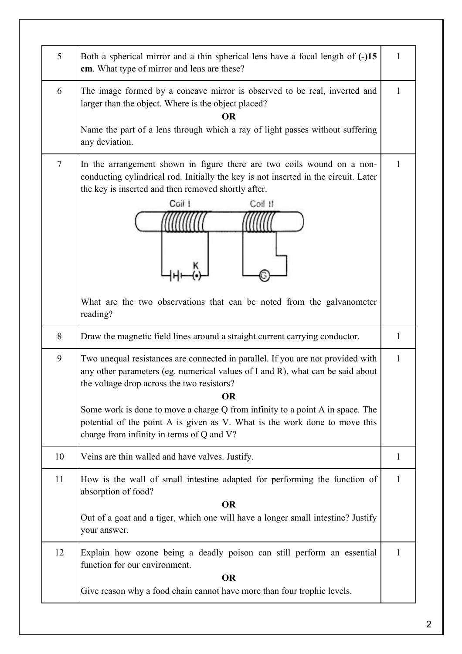| 5      | Both a spherical mirror and a thin spherical lens have a focal length of (-)15<br>cm. What type of mirror and lens are these?                                                                                                                                                                                                                                                                                                            | 1            |
|--------|------------------------------------------------------------------------------------------------------------------------------------------------------------------------------------------------------------------------------------------------------------------------------------------------------------------------------------------------------------------------------------------------------------------------------------------|--------------|
| 6      | The image formed by a concave mirror is observed to be real, inverted and<br>larger than the object. Where is the object placed?<br><b>OR</b><br>Name the part of a lens through which a ray of light passes without suffering<br>any deviation.                                                                                                                                                                                         | $\mathbf{1}$ |
| $\tau$ | In the arrangement shown in figure there are two coils wound on a non-<br>conducting cylindrical rod. Initially the key is not inserted in the circuit. Later<br>the key is inserted and then removed shortly after.<br>Coil I<br>Coil II<br>What are the two observations that can be noted from the galvanometer<br>reading?                                                                                                           | $\mathbf{1}$ |
| 8      | Draw the magnetic field lines around a straight current carrying conductor.                                                                                                                                                                                                                                                                                                                                                              | 1            |
| 9      | Two unequal resistances are connected in parallel. If you are not provided with<br>any other parameters (eg. numerical values of I and R), what can be said about<br>the voltage drop across the two resistors?<br><b>OR</b><br>Some work is done to move a charge Q from infinity to a point A in space. The<br>potential of the point A is given as V. What is the work done to move this<br>charge from infinity in terms of Q and V? | $\mathbf{1}$ |
| 10     | Veins are thin walled and have valves. Justify.                                                                                                                                                                                                                                                                                                                                                                                          | 1            |
| 11     | How is the wall of small intestine adapted for performing the function of<br>absorption of food?<br><b>OR</b><br>Out of a goat and a tiger, which one will have a longer small intestine? Justify<br>your answer.                                                                                                                                                                                                                        | $\mathbf{1}$ |
| 12     | Explain how ozone being a deadly poison can still perform an essential<br>function for our environment.<br><b>OR</b><br>Give reason why a food chain cannot have more than four trophic levels.                                                                                                                                                                                                                                          | 1            |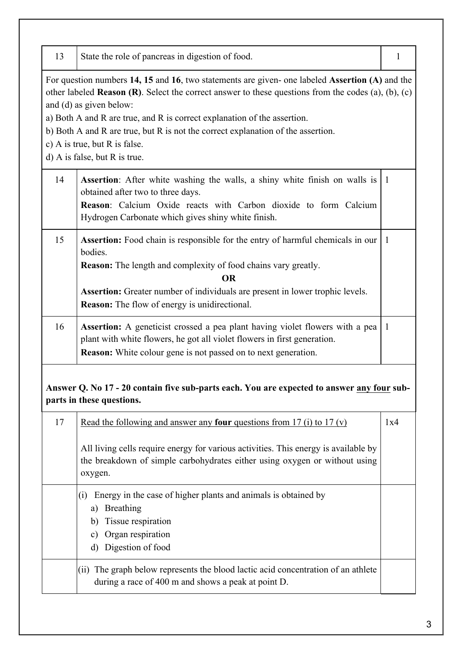| 13 | State the role of pancreas in digestion of food.                                                                                                                                              | $\mathbf{1}$ |
|----|-----------------------------------------------------------------------------------------------------------------------------------------------------------------------------------------------|--------------|
|    | For question numbers 14, 15 and 16, two statements are given- one labeled Assertion (A) and the                                                                                               |              |
|    | other labeled <b>Reason (R)</b> . Select the correct answer to these questions from the codes (a), (b), (c)<br>and (d) as given below:                                                        |              |
|    | a) Both A and R are true, and R is correct explanation of the assertion.                                                                                                                      |              |
|    | b) Both A and R are true, but R is not the correct explanation of the assertion.<br>c) A is true, but R is false.                                                                             |              |
|    | d) A is false, but R is true.                                                                                                                                                                 |              |
| 14 | <b>Assertion</b> : After white washing the walls, a shiny white finish on walls is 1<br>obtained after two to three days.<br>Reason: Calcium Oxide reacts with Carbon dioxide to form Calcium |              |
|    | Hydrogen Carbonate which gives shiny white finish.                                                                                                                                            |              |
| 15 | <b>Assertion:</b> Food chain is responsible for the entry of harmful chemicals in our<br>bodies.                                                                                              | 1            |
|    | <b>Reason:</b> The length and complexity of food chains vary greatly.<br><b>OR</b>                                                                                                            |              |
|    | <b>Assertion:</b> Greater number of individuals are present in lower trophic levels.<br><b>Reason:</b> The flow of energy is unidirectional.                                                  |              |
| 16 | Assertion: A geneticist crossed a pea plant having violet flowers with a pea<br>plant with white flowers, he got all violet flowers in first generation.                                      | $\mathbf{1}$ |
|    | <b>Reason:</b> White colour gene is not passed on to next generation.                                                                                                                         |              |
|    | Answer Q. No 17 - 20 contain five sub-parts each. You are expected to answer any four sub-<br>parts in these questions.                                                                       |              |
| 17 | Read the following and answer any <b>four</b> questions from 17 (i) to 17 (v)                                                                                                                 | 1x4          |
|    | All living cells require energy for various activities. This energy is available by<br>the breakdown of simple carbohydrates either using oxygen or without using<br>oxygen.                  |              |
|    | Energy in the case of higher plants and animals is obtained by<br>(i)<br>Breathing<br>a)<br>Tissue respiration<br>b)                                                                          |              |
|    | Organ respiration<br>c)<br>Digestion of food<br>d)                                                                                                                                            |              |
|    | (ii) The graph below represents the blood lactic acid concentration of an athlete<br>during a race of 400 m and shows a peak at point D.                                                      |              |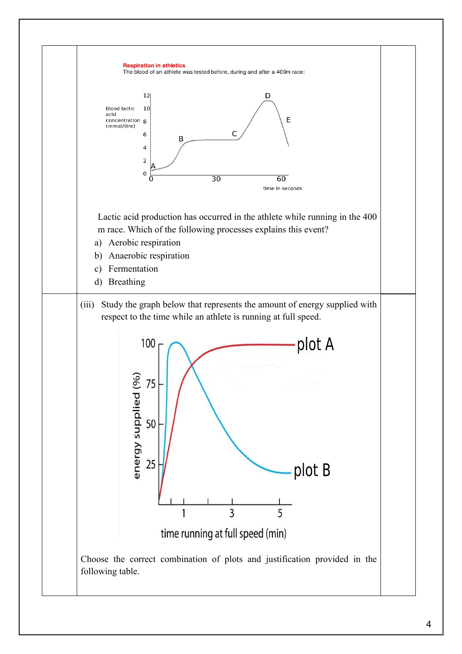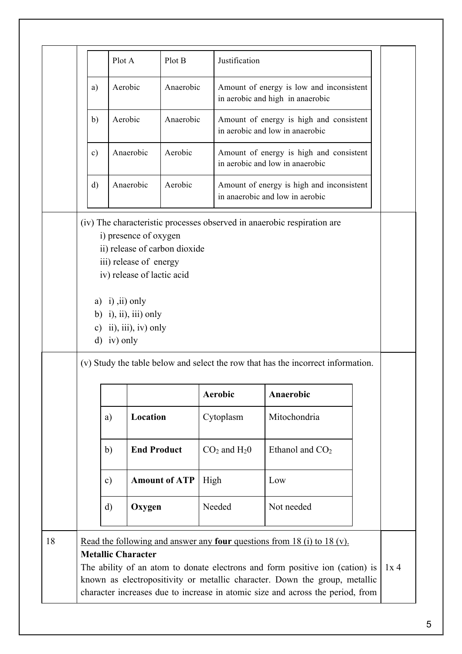|    |               | Plot A                                  |                                                                                                         | Plot B                        |      | Justification                                                                                                                                                                                                                                                                                                                  |                                                                            |                                           |  |        |  |
|----|---------------|-----------------------------------------|---------------------------------------------------------------------------------------------------------|-------------------------------|------|--------------------------------------------------------------------------------------------------------------------------------------------------------------------------------------------------------------------------------------------------------------------------------------------------------------------------------|----------------------------------------------------------------------------|-------------------------------------------|--|--------|--|
|    | a)            | Aerobic                                 |                                                                                                         | Anaerobic                     |      | in aerobic and high in anaerobic                                                                                                                                                                                                                                                                                               |                                                                            | Amount of energy is low and inconsistent  |  |        |  |
|    | b)            | Aerobic                                 |                                                                                                         | Anaerobic                     |      | in aerobic and low in anaerobic                                                                                                                                                                                                                                                                                                |                                                                            | Amount of energy is high and consistent   |  |        |  |
|    | $\mathbf{c})$ |                                         | Anaerobic                                                                                               | Aerobic                       |      |                                                                                                                                                                                                                                                                                                                                | Amount of energy is high and consistent<br>in aerobic and low in anaerobic |                                           |  |        |  |
|    | $\mathbf{d}$  |                                         | Anaerobic                                                                                               | Aerobic                       |      | in anaerobic and low in aerobic                                                                                                                                                                                                                                                                                                |                                                                            | Amount of energy is high and inconsistent |  |        |  |
|    |               | a) $(i)$ , $(ii)$ only<br>$d)$ iv) only | iii) release of energy<br>iv) release of lactic acid<br>b) i), ii), iii) only<br>c) ii), iii), iv) only | ii) release of carbon dioxide |      | (v) Study the table below and select the row that has the incorrect information.                                                                                                                                                                                                                                               |                                                                            |                                           |  |        |  |
|    |               |                                         |                                                                                                         |                               |      | <b>Aerobic</b>                                                                                                                                                                                                                                                                                                                 | Anaerobic                                                                  |                                           |  |        |  |
|    |               | a)                                      | Location                                                                                                |                               |      | Cytoplasm                                                                                                                                                                                                                                                                                                                      | Mitochondria                                                               |                                           |  |        |  |
|    |               | b)                                      | <b>End Product</b>                                                                                      |                               |      | $CO2$ and $H20$                                                                                                                                                                                                                                                                                                                | Ethanol and $CO2$                                                          |                                           |  |        |  |
|    |               | $\mathbf{c})$                           |                                                                                                         | <b>Amount of ATP</b>          | High |                                                                                                                                                                                                                                                                                                                                | Low                                                                        |                                           |  |        |  |
|    |               | $\mathbf{d}$                            | Oxygen                                                                                                  |                               |      | Needed                                                                                                                                                                                                                                                                                                                         | Not needed                                                                 |                                           |  |        |  |
| 18 |               |                                         | <b>Metallic Character</b>                                                                               |                               |      | Read the following and answer any <b>four</b> questions from 18 (i) to 18 (v).<br>The ability of an atom to donate electrons and form positive ion (cation) is<br>known as electropositivity or metallic character. Down the group, metallic<br>character increases due to increase in atomic size and across the period, from |                                                                            |                                           |  | $1x$ 4 |  |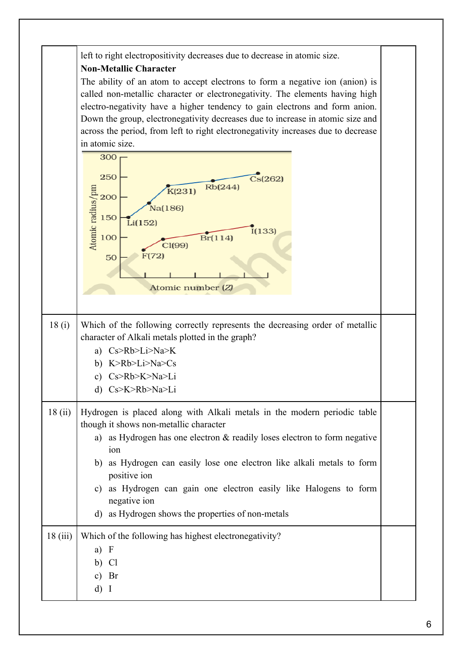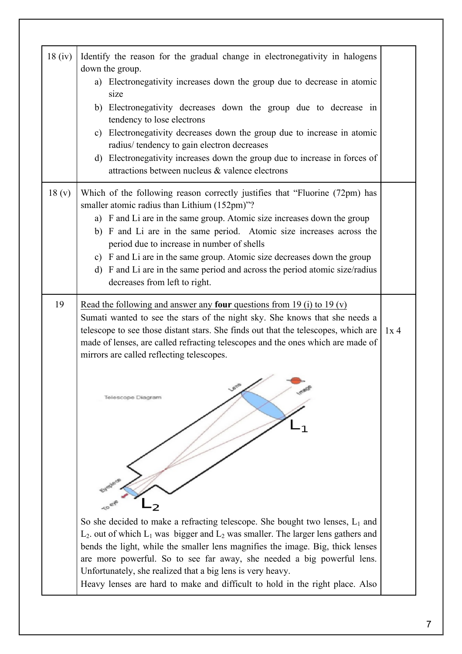| 18(iv) | Identify the reason for the gradual change in electronegativity in halogens                                                   |     |
|--------|-------------------------------------------------------------------------------------------------------------------------------|-----|
|        | down the group.                                                                                                               |     |
|        | a) Electronegativity increases down the group due to decrease in atomic                                                       |     |
|        | size                                                                                                                          |     |
|        | b) Electronegativity decreases down the group due to decrease in                                                              |     |
|        | tendency to lose electrons                                                                                                    |     |
|        | c) Electronegativity decreases down the group due to increase in atomic                                                       |     |
|        | radius/ tendency to gain electron decreases                                                                                   |     |
|        | d) Electronegativity increases down the group due to increase in forces of<br>attractions between nucleus & valence electrons |     |
|        |                                                                                                                               |     |
| 18(y)  | Which of the following reason correctly justifies that "Fluorine (72pm) has                                                   |     |
|        | smaller atomic radius than Lithium (152pm)"?                                                                                  |     |
|        | a) F and Li are in the same group. Atomic size increases down the group                                                       |     |
|        | b) F and Li are in the same period. Atomic size increases across the                                                          |     |
|        | period due to increase in number of shells                                                                                    |     |
|        | c) F and Li are in the same group. Atomic size decreases down the group                                                       |     |
|        | d) F and Li are in the same period and across the period atomic size/radius                                                   |     |
|        | decreases from left to right.                                                                                                 |     |
| 19     | Read the following and answer any <b>four</b> questions from 19 (i) to 19 (v)                                                 |     |
|        | Sumati wanted to see the stars of the night sky. She knows that she needs a                                                   |     |
|        | telescope to see those distant stars. She finds out that the telescopes, which are                                            | 1x4 |
|        | made of lenses, are called refracting telescopes and the ones which are made of                                               |     |
|        | mirrors are called reflecting telescopes.                                                                                     |     |
|        |                                                                                                                               |     |
|        | $\overline{\phantom{1}}$                                                                                                      |     |
|        | Telescope Diagram                                                                                                             |     |
|        |                                                                                                                               |     |
|        |                                                                                                                               |     |
|        |                                                                                                                               |     |
|        |                                                                                                                               |     |
|        |                                                                                                                               |     |
|        |                                                                                                                               |     |
|        |                                                                                                                               |     |
|        |                                                                                                                               |     |
|        |                                                                                                                               |     |
|        | So she decided to make a refracting telescope. She bought two lenses, $L_1$ and                                               |     |
|        | $L_2$ out of which $L_1$ was bigger and $L_2$ was smaller. The larger lens gathers and                                        |     |
|        | bends the light, while the smaller lens magnifies the image. Big, thick lenses                                                |     |
|        | are more powerful. So to see far away, she needed a big powerful lens.                                                        |     |
|        | Unfortunately, she realized that a big lens is very heavy.                                                                    |     |
|        | Heavy lenses are hard to make and difficult to hold in the right place. Also                                                  |     |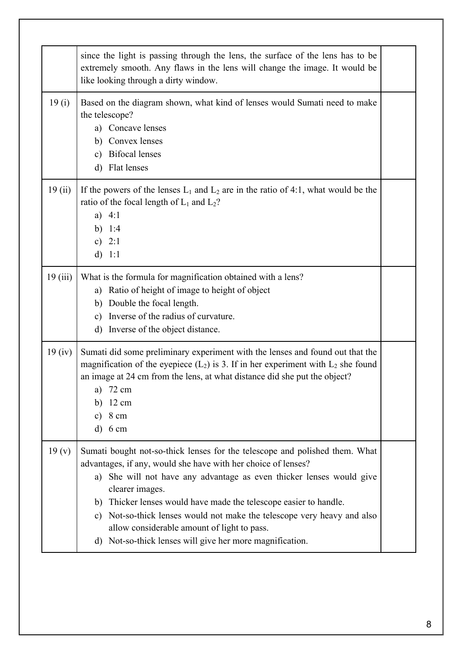|                    | since the light is passing through the lens, the surface of the lens has to be<br>extremely smooth. Any flaws in the lens will change the image. It would be<br>like looking through a dirty window.                                                                                                                                                                                                                                                                                               |  |
|--------------------|----------------------------------------------------------------------------------------------------------------------------------------------------------------------------------------------------------------------------------------------------------------------------------------------------------------------------------------------------------------------------------------------------------------------------------------------------------------------------------------------------|--|
| 19(i)              | Based on the diagram shown, what kind of lenses would Sumati need to make<br>the telescope?<br>a) Concave lenses<br>b) Convex lenses<br><b>Bifocal lenses</b><br>$\mathbf{c})$<br>d) Flat lenses                                                                                                                                                                                                                                                                                                   |  |
| 19(i)              | If the powers of the lenses $L_1$ and $L_2$ are in the ratio of 4:1, what would be the<br>ratio of the focal length of $L_1$ and $L_2$ ?<br>a) $4:1$<br>b) $1:4$<br>c) $2:1$<br>d) 1:1                                                                                                                                                                                                                                                                                                             |  |
| 19(iii)            | What is the formula for magnification obtained with a lens?<br>a) Ratio of height of image to height of object<br>b) Double the focal length.<br>Inverse of the radius of curvature.<br>$\mathbf{c})$<br>d) Inverse of the object distance.                                                                                                                                                                                                                                                        |  |
| 19 <sub>(iv)</sub> | Sumati did some preliminary experiment with the lenses and found out that the<br>magnification of the eyepiece $(L_2)$ is 3. If in her experiment with $L_2$ she found<br>an image at 24 cm from the lens, at what distance did she put the object?<br>72 cm<br>a)<br>$12 \text{ cm}$<br>b)<br>8 cm<br>$\mathbf{c})$<br>$6 \text{ cm}$<br>$\rm d)$                                                                                                                                                 |  |
| 19(y)              | Sumati bought not-so-thick lenses for the telescope and polished them. What<br>advantages, if any, would she have with her choice of lenses?<br>a) She will not have any advantage as even thicker lenses would give<br>clearer images.<br>b) Thicker lenses would have made the telescope easier to handle.<br>c) Not-so-thick lenses would not make the telescope very heavy and also<br>allow considerable amount of light to pass.<br>d) Not-so-thick lenses will give her more magnification. |  |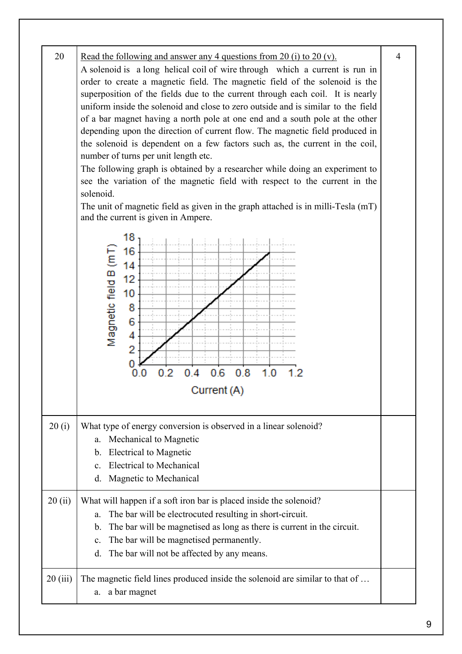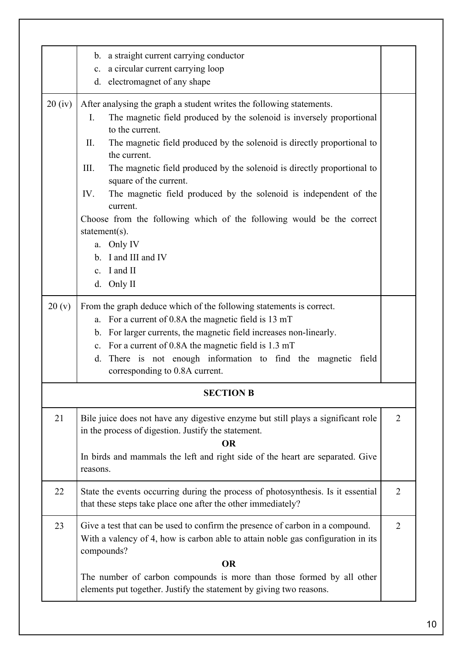|        | b. a straight current carrying conductor                                                                                                                          |                |
|--------|-------------------------------------------------------------------------------------------------------------------------------------------------------------------|----------------|
|        | c. a circular current carrying loop                                                                                                                               |                |
|        | d. electromagnet of any shape                                                                                                                                     |                |
| 20(iv) | After analysing the graph a student writes the following statements.                                                                                              |                |
|        | The magnetic field produced by the solenoid is inversely proportional<br>$\mathbf{I}$ .                                                                           |                |
|        | to the current.                                                                                                                                                   |                |
|        | П.<br>The magnetic field produced by the solenoid is directly proportional to<br>the current.                                                                     |                |
|        | III.<br>The magnetic field produced by the solenoid is directly proportional to                                                                                   |                |
|        | square of the current.                                                                                                                                            |                |
|        | The magnetic field produced by the solenoid is independent of the<br>IV.<br>current.                                                                              |                |
|        | Choose from the following which of the following would be the correct                                                                                             |                |
|        | statement $(s)$ .                                                                                                                                                 |                |
|        | a. Only IV                                                                                                                                                        |                |
|        | b. I and III and IV                                                                                                                                               |                |
|        | c. I and II                                                                                                                                                       |                |
|        | d. Only II                                                                                                                                                        |                |
| 20(y)  | From the graph deduce which of the following statements is correct.                                                                                               |                |
|        | a. For a current of 0.8A the magnetic field is 13 mT                                                                                                              |                |
|        | b. For larger currents, the magnetic field increases non-linearly.                                                                                                |                |
|        | c. For a current of 0.8A the magnetic field is 1.3 mT                                                                                                             |                |
|        | There is not enough information to find the magnetic<br>d.<br>field                                                                                               |                |
|        | corresponding to 0.8A current.                                                                                                                                    |                |
|        | <b>SECTION B</b>                                                                                                                                                  |                |
| 21     | Bile juice does not have any digestive enzyme but still plays a significant role<br>in the process of digestion. Justify the statement.<br><b>OR</b>              | $\overline{2}$ |
|        | In birds and mammals the left and right side of the heart are separated. Give                                                                                     |                |
|        | reasons.                                                                                                                                                          |                |
| 22     | State the events occurring during the process of photosynthesis. Is it essential                                                                                  | $\overline{2}$ |
|        | that these steps take place one after the other immediately?                                                                                                      |                |
| 23     | Give a test that can be used to confirm the presence of carbon in a compound.<br>With a valency of 4, how is carbon able to attain noble gas configuration in its | $\overline{2}$ |
|        | compounds?                                                                                                                                                        |                |
|        | <b>OR</b>                                                                                                                                                         |                |
|        | The number of carbon compounds is more than those formed by all other                                                                                             |                |
|        | elements put together. Justify the statement by giving two reasons.                                                                                               |                |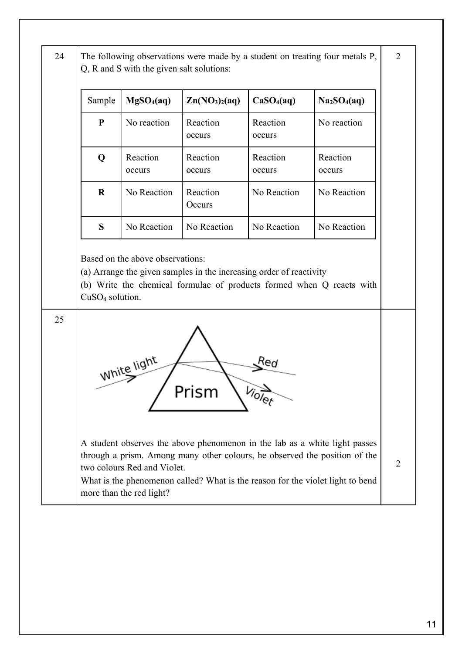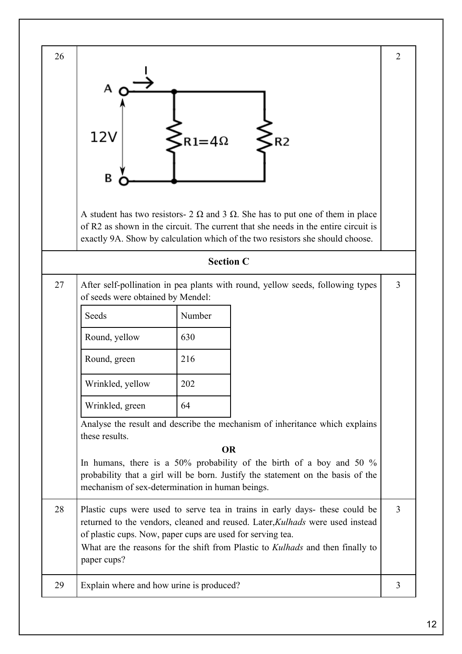| 26 | 12V<br>R <sub>2</sub><br>$R1 = 4\Omega$<br>В<br>A student has two resistors- $2 \Omega$ and $3 \Omega$ . She has to put one of them in place<br>of R2 as shown in the circuit. The current that she needs in the entire circuit is<br>exactly 9A. Show by calculation which of the two resistors she should choose.                                                                                                             | $\overline{2}$ |
|----|---------------------------------------------------------------------------------------------------------------------------------------------------------------------------------------------------------------------------------------------------------------------------------------------------------------------------------------------------------------------------------------------------------------------------------|----------------|
|    | <b>Section C</b>                                                                                                                                                                                                                                                                                                                                                                                                                |                |
| 27 | After self-pollination in pea plants with round, yellow seeds, following types<br>of seeds were obtained by Mendel:<br>Seeds<br>Number<br>630<br>Round, yellow<br>216<br>Round, green<br>202<br>Wrinkled, yellow<br>Wrinkled, green<br>64<br>Analyse the result and describe the mechanism of inheritance which explains<br>these results.<br><b>OR</b><br>In humans, there is a 50% probability of the birth of a boy and 50 % | $\overline{3}$ |
|    | probability that a girl will be born. Justify the statement on the basis of the<br>mechanism of sex-determination in human beings.                                                                                                                                                                                                                                                                                              |                |
| 28 | Plastic cups were used to serve tea in trains in early days- these could be<br>returned to the vendors, cleaned and reused. Later, Kulhads were used instead<br>of plastic cups. Now, paper cups are used for serving tea.<br>What are the reasons for the shift from Plastic to Kulhads and then finally to<br>paper cups?                                                                                                     | 3              |
| 29 | Explain where and how urine is produced?                                                                                                                                                                                                                                                                                                                                                                                        | 3              |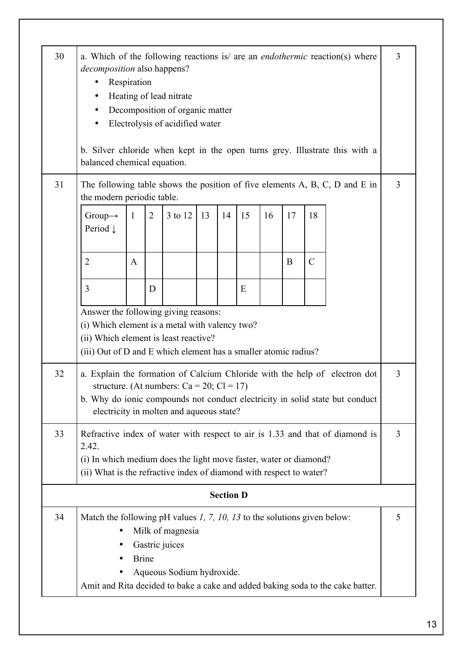| 30 | <i>decomposition</i> also happens?<br>٠<br>balanced chemical equation.                                                                                                                             | Respiration  |                | Heating of lead nitrate<br>Decomposition of organic matter<br>Electrolysis of acidified water |    |                  |    |    |    |               | a. Which of the following reactions is/ are an <i>endothermic</i> reaction(s) where<br>b. Silver chloride when kept in the open turns grey. Illustrate this with a | 3 |
|----|----------------------------------------------------------------------------------------------------------------------------------------------------------------------------------------------------|--------------|----------------|-----------------------------------------------------------------------------------------------|----|------------------|----|----|----|---------------|--------------------------------------------------------------------------------------------------------------------------------------------------------------------|---|
| 31 |                                                                                                                                                                                                    |              |                |                                                                                               |    |                  |    |    |    |               | The following table shows the position of five elements $A$ , $B$ , $C$ , $D$ and $E$ in                                                                           | 3 |
|    | the modern periodic table.<br>Group $\rightarrow$<br>Period $\downarrow$                                                                                                                           | $\mathbf{1}$ | $\overline{2}$ | 3 to 12                                                                                       | 13 | 14               | 15 | 16 | 17 | 18            |                                                                                                                                                                    |   |
|    | $\overline{2}$                                                                                                                                                                                     | A            |                |                                                                                               |    |                  |    |    | B  | $\mathcal{C}$ |                                                                                                                                                                    |   |
|    | 3                                                                                                                                                                                                  |              | D              |                                                                                               |    |                  | E  |    |    |               |                                                                                                                                                                    |   |
|    | Answer the following giving reasons:<br>(i) Which element is a metal with valency two?<br>(ii) Which element is least reactive?<br>(iii) Out of D and E which element has a smaller atomic radius? |              |                |                                                                                               |    |                  |    |    |    |               |                                                                                                                                                                    |   |
| 32 |                                                                                                                                                                                                    |              |                | structure. (At numbers: $Ca = 20$ ; $Cl = 17$ )<br>electricity in molten and aqueous state?   |    |                  |    |    |    |               | a. Explain the formation of Calcium Chloride with the help of electron dot<br>b. Why do ionic compounds not conduct electricity in solid state but conduct         | 3 |
| 33 | 2.42.<br>(i) In which medium does the light move faster, water or diamond?<br>(ii) What is the refractive index of diamond with respect to water?                                                  |              |                |                                                                                               |    |                  |    |    |    |               | Refractive index of water with respect to air is 1.33 and that of diamond is                                                                                       | 3 |
|    |                                                                                                                                                                                                    |              |                |                                                                                               |    | <b>Section D</b> |    |    |    |               |                                                                                                                                                                    |   |
| 34 | Match the following pH values $1, 7, 10, 13$ to the solutions given below:<br>٠                                                                                                                    | <b>Brine</b> |                | Milk of magnesia<br>Gastric juices<br>Aqueous Sodium hydroxide.                               |    |                  |    |    |    |               | Amit and Rita decided to bake a cake and added baking soda to the cake batter.                                                                                     | 5 |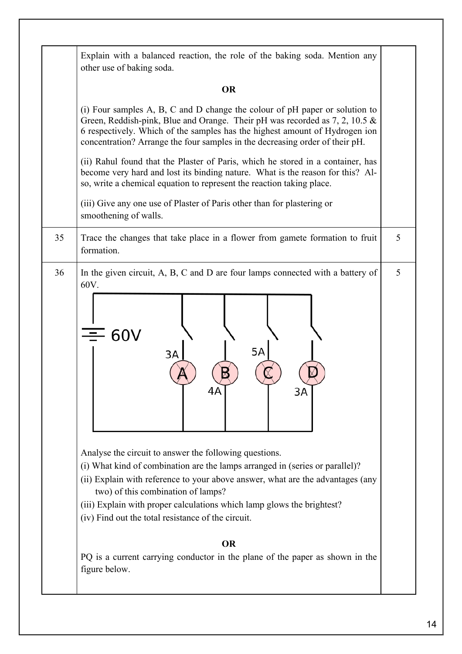|    | other use of baking soda.                                                                                                                                                                                                                                                                                                                                                                                                                                                                                                                     |   |  |  |  |  |  |  |  |  |
|----|-----------------------------------------------------------------------------------------------------------------------------------------------------------------------------------------------------------------------------------------------------------------------------------------------------------------------------------------------------------------------------------------------------------------------------------------------------------------------------------------------------------------------------------------------|---|--|--|--|--|--|--|--|--|
|    | <b>OR</b>                                                                                                                                                                                                                                                                                                                                                                                                                                                                                                                                     |   |  |  |  |  |  |  |  |  |
|    | (i) Four samples $A$ , $B$ , $C$ and $D$ change the colour of $pH$ paper or solution to<br>Green, Reddish-pink, Blue and Orange. Their pH was recorded as 7, 2, 10.5 &<br>6 respectively. Which of the samples has the highest amount of Hydrogen ion<br>concentration? Arrange the four samples in the decreasing order of their pH.                                                                                                                                                                                                         |   |  |  |  |  |  |  |  |  |
|    | (ii) Rahul found that the Plaster of Paris, which he stored in a container, has<br>become very hard and lost its binding nature. What is the reason for this? Al-<br>so, write a chemical equation to represent the reaction taking place.                                                                                                                                                                                                                                                                                                    |   |  |  |  |  |  |  |  |  |
|    | (iii) Give any one use of Plaster of Paris other than for plastering or<br>smoothening of walls.                                                                                                                                                                                                                                                                                                                                                                                                                                              |   |  |  |  |  |  |  |  |  |
| 35 | Trace the changes that take place in a flower from gamete formation to fruit<br>formation.                                                                                                                                                                                                                                                                                                                                                                                                                                                    | 5 |  |  |  |  |  |  |  |  |
| 36 | In the given circuit, A, B, C and D are four lamps connected with a battery of<br>60V.<br>$\equiv$ 60V<br>5A<br>3A<br>4Α<br>3A<br>Analyse the circuit to answer the following questions.<br>(i) What kind of combination are the lamps arranged in (series or parallel)?<br>(ii) Explain with reference to your above answer, what are the advantages (any<br>two) of this combination of lamps?<br>(iii) Explain with proper calculations which lamp glows the brightest?<br>(iv) Find out the total resistance of the circuit.<br><b>OR</b> |   |  |  |  |  |  |  |  |  |
|    | PQ is a current carrying conductor in the plane of the paper as shown in the<br>figure below.                                                                                                                                                                                                                                                                                                                                                                                                                                                 |   |  |  |  |  |  |  |  |  |